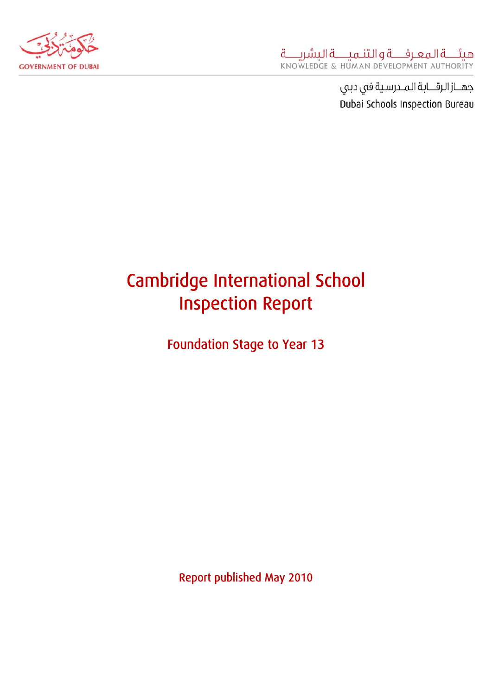

# Cambridge International School Inspection Report

Foundation Stage to Year 13

Report published May 2010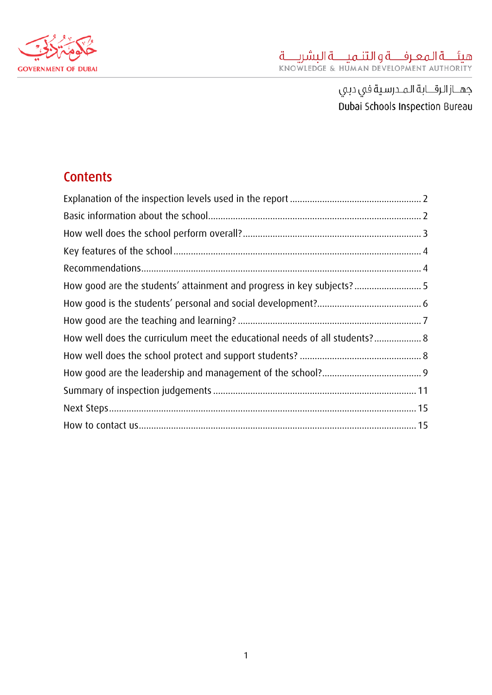

# **Contents**

| How well does the curriculum meet the educational needs of all students? 8 |  |
|----------------------------------------------------------------------------|--|
|                                                                            |  |
|                                                                            |  |
|                                                                            |  |
|                                                                            |  |
|                                                                            |  |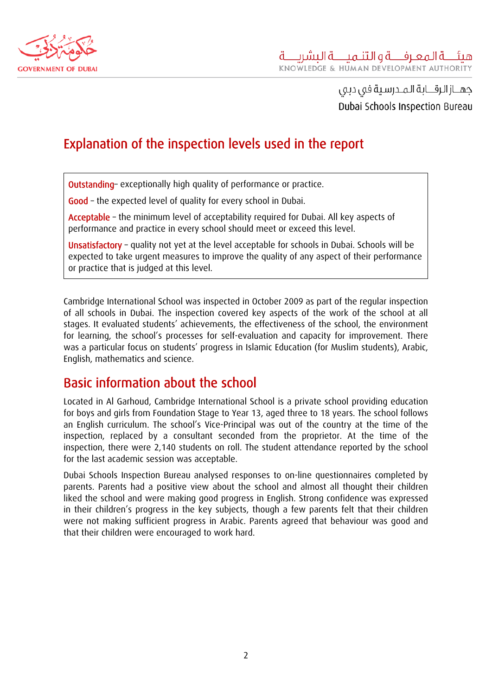<span id="page-2-0"></span>

# Explanation of the inspection levels used in the report

Outstanding– exceptionally high quality of performance or practice.

Good – the expected level of quality for every school in Dubai.

Acceptable – the minimum level of acceptability required for Dubai. All key aspects of performance and practice in every school should meet or exceed this level.

Unsatisfactory – quality not yet at the level acceptable for schools in Dubai. Schools will be expected to take urgent measures to improve the quality of any aspect of their performance or practice that is judged at this level.

Cambridge International School was inspected in October 2009 as part of the regular inspection of all schools in Dubai. The inspection covered key aspects of the work of the school at all stages. It evaluated students' achievements, the effectiveness of the school, the environment for learning, the school's processes for self-evaluation and capacity for improvement. There was a particular focus on students' progress in Islamic Education (for Muslim students), Arabic, English, mathematics and science.

### Basic information about the school

Located in Al Garhoud, Cambridge International School is a private school providing education for boys and girls from Foundation Stage to Year 13, aged three to 18 years. The school follows an English curriculum. The school's Vice-Principal was out of the country at the time of the inspection, replaced by a consultant seconded from the proprietor. At the time of the inspection, there were 2,140 students on roll. The student attendance reported by the school for the last academic session was acceptable.

Dubai Schools Inspection Bureau analysed responses to on-line questionnaires completed by parents. Parents had a positive view about the school and almost all thought their children liked the school and were making good progress in English. Strong confidence was expressed in their children's progress in the key subjects, though a few parents felt that their children were not making sufficient progress in Arabic. Parents agreed that behaviour was good and that their children were encouraged to work hard.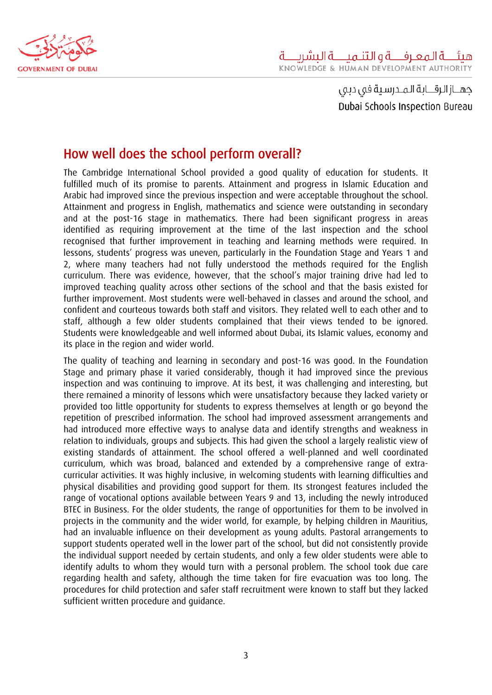<span id="page-3-0"></span>

# How well does the school perform overall?

The Cambridge International School provided a good quality of education for students. It fulfilled much of its promise to parents. Attainment and progress in Islamic Education and Arabic had improved since the previous inspection and were acceptable throughout the school. Attainment and progress in English, mathematics and science were outstanding in secondary and at the post-16 stage in mathematics. There had been significant progress in areas identified as requiring improvement at the time of the last inspection and the school recognised that further improvement in teaching and learning methods were required. In lessons, students' progress was uneven, particularly in the Foundation Stage and Years 1 and 2, where many teachers had not fully understood the methods required for the English curriculum. There was evidence, however, that the school's major training drive had led to improved teaching quality across other sections of the school and that the basis existed for further improvement. Most students were well-behaved in classes and around the school, and confident and courteous towards both staff and visitors. They related well to each other and to staff, although a few older students complained that their views tended to be ignored. Students were knowledgeable and well informed about Dubai, its Islamic values, economy and its place in the region and wider world.

The quality of teaching and learning in secondary and post-16 was good. In the Foundation Stage and primary phase it varied considerably, though it had improved since the previous inspection and was continuing to improve. At its best, it was challenging and interesting, but there remained a minority of lessons which were unsatisfactory because they lacked variety or provided too little opportunity for students to express themselves at length or go beyond the repetition of prescribed information. The school had improved assessment arrangements and had introduced more effective ways to analyse data and identify strengths and weakness in relation to individuals, groups and subjects. This had given the school a largely realistic view of existing standards of attainment. The school offered a well-planned and well coordinated curriculum, which was broad, balanced and extended by a comprehensive range of extracurricular activities. It was highly inclusive, in welcoming students with learning difficulties and physical disabilities and providing good support for them. Its strongest features included the range of vocational options available between Years 9 and 13, including the newly introduced BTEC in Business. For the older students, the range of opportunities for them to be involved in projects in the community and the wider world, for example, by helping children in Mauritius, had an invaluable influence on their development as young adults. Pastoral arrangements to support students operated well in the lower part of the school, but did not consistently provide the individual support needed by certain students, and only a few older students were able to identify adults to whom they would turn with a personal problem. The school took due care regarding health and safety, although the time taken for fire evacuation was too long. The procedures for child protection and safer staff recruitment were known to staff but they lacked sufficient written procedure and guidance.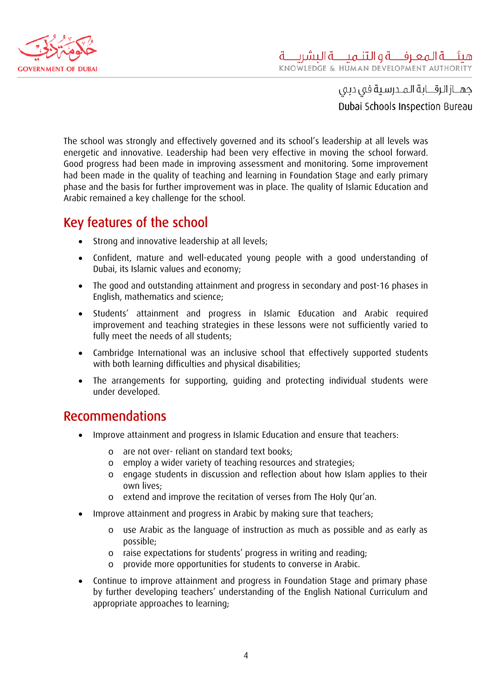<span id="page-4-0"></span>

The school was strongly and effectively governed and its school's leadership at all levels was energetic and innovative. Leadership had been very effective in moving the school forward. Good progress had been made in improving assessment and monitoring. Some improvement had been made in the quality of teaching and learning in Foundation Stage and early primary phase and the basis for further improvement was in place. The quality of Islamic Education and Arabic remained a key challenge for the school.

### Key features of the school

- Strong and innovative leadership at all levels;
- Confident, mature and well-educated young people with a good understanding of Dubai, its Islamic values and economy;
- The good and outstanding attainment and progress in secondary and post-16 phases in English, mathematics and science;
- Students' attainment and progress in Islamic Education and Arabic required improvement and teaching strategies in these lessons were not sufficiently varied to fully meet the needs of all students;
- Cambridge International was an inclusive school that effectively supported students with both learning difficulties and physical disabilities;
- The arrangements for supporting, guiding and protecting individual students were under developed.

### Recommendations

- Improve attainment and progress in Islamic Education and ensure that teachers:
	- o are not over- reliant on standard text books;
	- o employ a wider variety of teaching resources and strategies;
	- o engage students in discussion and reflection about how Islam applies to their own lives;
	- o extend and improve the recitation of verses from The Holy Qur'an.
- Improve attainment and progress in Arabic by making sure that teachers;
	- o use Arabic as the language of instruction as much as possible and as early as possible;
	- o raise expectations for students' progress in writing and reading;
	- o provide more opportunities for students to converse in Arabic.
- Continue to improve attainment and progress in Foundation Stage and primary phase by further developing teachers' understanding of the English National Curriculum and appropriate approaches to learning;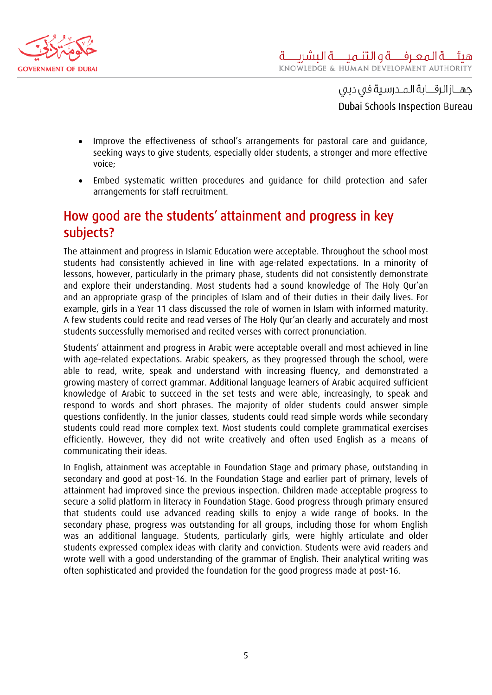<span id="page-5-0"></span>

- Improve the effectiveness of school's arrangements for pastoral care and guidance, seeking ways to give students, especially older students, a stronger and more effective voice;
- Embed systematic written procedures and guidance for child protection and safer arrangements for staff recruitment.

# How good are the students' attainment and progress in key subjects?

The attainment and progress in Islamic Education were acceptable. Throughout the school most students had consistently achieved in line with age-related expectations. In a minority of lessons, however, particularly in the primary phase, students did not consistently demonstrate and explore their understanding. Most students had a sound knowledge of The Holy Qur'an and an appropriate grasp of the principles of Islam and of their duties in their daily lives. For example, girls in a Year 11 class discussed the role of women in Islam with informed maturity. A few students could recite and read verses of The Holy Qur'an clearly and accurately and most students successfully memorised and recited verses with correct pronunciation.

Students' attainment and progress in Arabic were acceptable overall and most achieved in line with age-related expectations. Arabic speakers, as they progressed through the school, were able to read, write, speak and understand with increasing fluency, and demonstrated a growing mastery of correct grammar. Additional language learners of Arabic acquired sufficient knowledge of Arabic to succeed in the set tests and were able, increasingly, to speak and respond to words and short phrases. The majority of older students could answer simple questions confidently. In the junior classes, students could read simple words while secondary students could read more complex text. Most students could complete grammatical exercises efficiently. However, they did not write creatively and often used English as a means of communicating their ideas.

In English, attainment was acceptable in Foundation Stage and primary phase, outstanding in secondary and good at post-16. In the Foundation Stage and earlier part of primary, levels of attainment had improved since the previous inspection. Children made acceptable progress to secure a solid platform in literacy in Foundation Stage. Good progress through primary ensured that students could use advanced reading skills to enjoy a wide range of books. In the secondary phase, progress was outstanding for all groups, including those for whom English was an additional language. Students, particularly girls, were highly articulate and older students expressed complex ideas with clarity and conviction. Students were avid readers and wrote well with a good understanding of the grammar of English. Their analytical writing was often sophisticated and provided the foundation for the good progress made at post-16.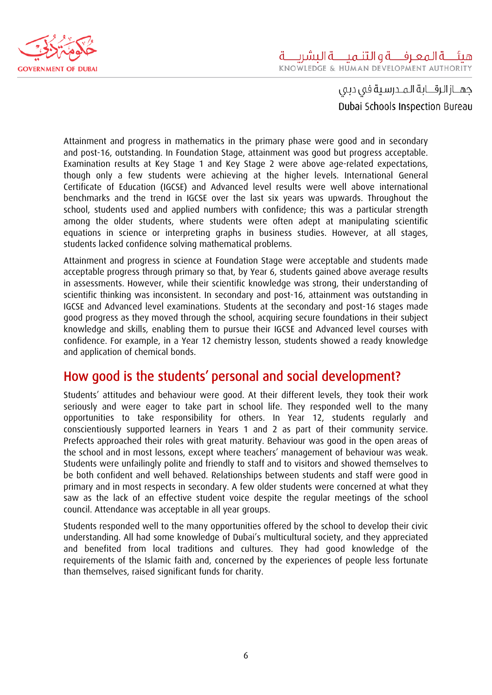<span id="page-6-0"></span>

Attainment and progress in mathematics in the primary phase were good and in secondary and post-16, outstanding. In Foundation Stage, attainment was good but progress acceptable. Examination results at Key Stage 1 and Key Stage 2 were above age-related expectations, though only a few students were achieving at the higher levels. International General Certificate of Education (IGCSE) and Advanced level results were well above international benchmarks and the trend in IGCSE over the last six years was upwards. Throughout the school, students used and applied numbers with confidence; this was a particular strength among the older students, where students were often adept at manipulating scientific equations in science or interpreting graphs in business studies. However, at all stages, students lacked confidence solving mathematical problems.

Attainment and progress in science at Foundation Stage were acceptable and students made acceptable progress through primary so that, by Year 6, students gained above average results in assessments. However, while their scientific knowledge was strong, their understanding of scientific thinking was inconsistent. In secondary and post-16, attainment was outstanding in IGCSE and Advanced level examinations. Students at the secondary and post-16 stages made good progress as they moved through the school, acquiring secure foundations in their subject knowledge and skills, enabling them to pursue their IGCSE and Advanced level courses with confidence. For example, in a Year 12 chemistry lesson, students showed a ready knowledge and application of chemical bonds.

### How good is the students' personal and social development?

Students' attitudes and behaviour were good. At their different levels, they took their work seriously and were eager to take part in school life. They responded well to the many opportunities to take responsibility for others. In Year 12, students regularly and conscientiously supported learners in Years 1 and 2 as part of their community service. Prefects approached their roles with great maturity. Behaviour was good in the open areas of the school and in most lessons, except where teachers' management of behaviour was weak. Students were unfailingly polite and friendly to staff and to visitors and showed themselves to be both confident and well behaved. Relationships between students and staff were good in primary and in most respects in secondary. A few older students were concerned at what they saw as the lack of an effective student voice despite the regular meetings of the school council. Attendance was acceptable in all year groups.

Students responded well to the many opportunities offered by the school to develop their civic understanding. All had some knowledge of Dubai's multicultural society, and they appreciated and benefited from local traditions and cultures. They had good knowledge of the requirements of the Islamic faith and, concerned by the experiences of people less fortunate than themselves, raised significant funds for charity.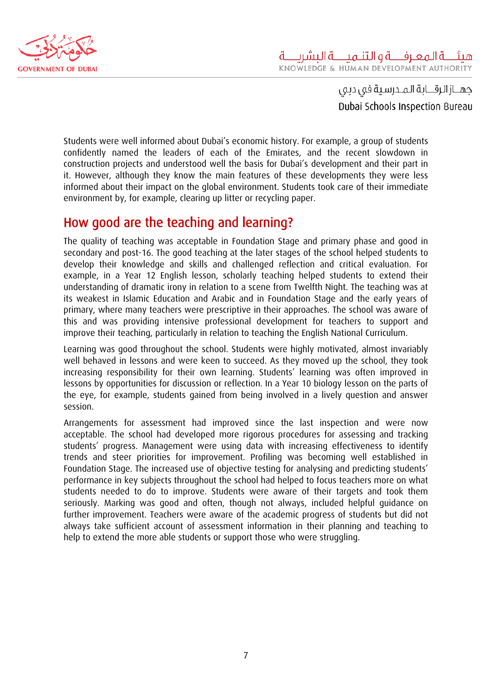<span id="page-7-0"></span>

Students were well informed about Dubai's economic history. For example, a group of students confidently named the leaders of each of the Emirates, and the recent slowdown in construction projects and understood well the basis for Dubai's development and their part in it. However, although they know the main features of these developments they were less informed about their impact on the global environment. Students took care of their immediate environment by, for example, clearing up litter or recycling paper.

#### How good are the teaching and learning?

The quality of teaching was acceptable in Foundation Stage and primary phase and good in secondary and post-16. The good teaching at the later stages of the school helped students to develop their knowledge and skills and challenged reflection and critical evaluation. For example, in a Year 12 English lesson, scholarly teaching helped students to extend their understanding of dramatic irony in relation to a scene from Twelfth Night. The teaching was at its weakest in Islamic Education and Arabic and in Foundation Stage and the early years of primary, where many teachers were prescriptive in their approaches. The school was aware of this and was providing intensive professional development for teachers to support and improve their teaching, particularly in relation to teaching the English National Curriculum.

Learning was good throughout the school. Students were highly motivated, almost invariably well behaved in lessons and were keen to succeed. As they moved up the school, they took increasing responsibility for their own learning. Students' learning was often improved in lessons by opportunities for discussion or reflection. In a Year 10 biology lesson on the parts of the eye, for example, students gained from being involved in a lively question and answer session.

Arrangements for assessment had improved since the last inspection and were now acceptable. The school had developed more rigorous procedures for assessing and tracking students' progress. Management were using data with increasing effectiveness to identify trends and steer priorities for improvement. Profiling was becoming well established in Foundation Stage. The increased use of objective testing for analysing and predicting students' performance in key subjects throughout the school had helped to focus teachers more on what students needed to do to improve. Students were aware of their targets and took them seriously. Marking was good and often, though not always, included helpful guidance on further improvement. Teachers were aware of the academic progress of students but did not always take sufficient account of assessment information in their planning and teaching to help to extend the more able students or support those who were struggling.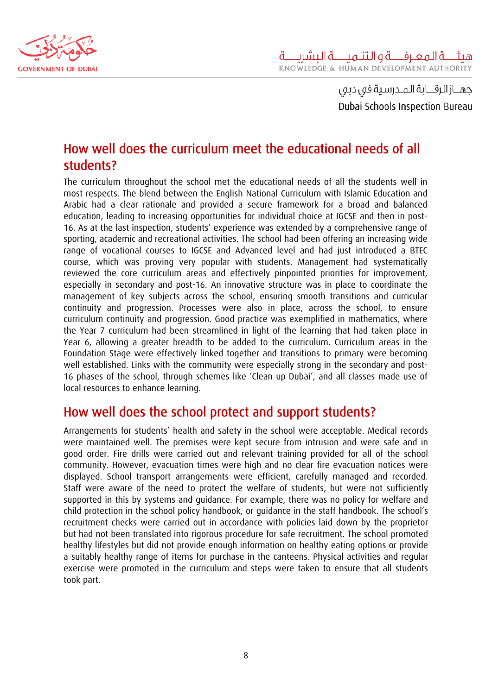<span id="page-8-0"></span>

# How well does the curriculum meet the educational needs of all students?

The curriculum throughout the school met the educational needs of all the students well in most respects. The blend between the English National Curriculum with Islamic Education and Arabic had a clear rationale and provided a secure framework for a broad and balanced education, leading to increasing opportunities for individual choice at IGCSE and then in post-16. As at the last inspection, students' experience was extended by a comprehensive range of sporting, academic and recreational activities. The school had been offering an increasing wide range of vocational courses to IGCSE and Advanced level and had just introduced a BTEC course, which was proving very popular with students. Management had systematically reviewed the core curriculum areas and effectively pinpointed priorities for improvement, especially in secondary and post-16. An innovative structure was in place to coordinate the management of key subjects across the school, ensuring smooth transitions and curricular continuity and progression. Processes were also in place, across the school, to ensure curriculum continuity and progression. Good practice was exemplified in mathematics, where the Year 7 curriculum had been streamlined in light of the learning that had taken place in Year 6, allowing a greater breadth to be added to the curriculum. Curriculum areas in the Foundation Stage were effectively linked together and transitions to primary were becoming well established. Links with the community were especially strong in the secondary and post-16 phases of the school, through schemes like 'Clean up Dubai', and all classes made use of local resources to enhance learning.

### How well does the school protect and support students?

Arrangements for students' health and safety in the school were acceptable. Medical records were maintained well. The premises were kept secure from intrusion and were safe and in good order. Fire drills were carried out and relevant training provided for all of the school community. However, evacuation times were high and no clear fire evacuation notices were displayed. School transport arrangements were efficient, carefully managed and recorded. Staff were aware of the need to protect the welfare of students, but were not sufficiently supported in this by systems and guidance. For example, there was no policy for welfare and child protection in the school policy handbook, or guidance in the staff handbook. The school's recruitment checks were carried out in accordance with policies laid down by the proprietor but had not been translated into rigorous procedure for safe recruitment. The school promoted healthy lifestyles but did not provide enough information on healthy eating options or provide a suitably healthy range of items for purchase in the canteens. Physical activities and regular exercise were promoted in the curriculum and steps were taken to ensure that all students took part.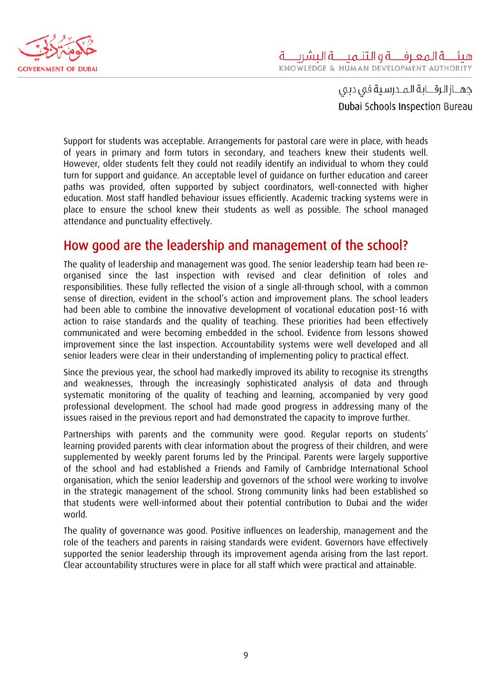<span id="page-9-0"></span>

Support for students was acceptable. Arrangements for pastoral care were in place, with heads of years in primary and form tutors in secondary, and teachers knew their students well. However, older students felt they could not readily identify an individual to whom they could turn for support and guidance. An acceptable level of guidance on further education and career paths was provided, often supported by subject coordinators, well-connected with higher education. Most staff handled behaviour issues efficiently. Academic tracking systems were in place to ensure the school knew their students as well as possible. The school managed attendance and punctuality effectively.

### How good are the leadership and management of the school?

The quality of leadership and management was good. The senior leadership team had been reorganised since the last inspection with revised and clear definition of roles and responsibilities. These fully reflected the vision of a single all-through school, with a common sense of direction, evident in the school's action and improvement plans. The school leaders had been able to combine the innovative development of vocational education post-16 with action to raise standards and the quality of teaching. These priorities had been effectively communicated and were becoming embedded in the school. Evidence from lessons showed improvement since the last inspection. Accountability systems were well developed and all senior leaders were clear in their understanding of implementing policy to practical effect.

Since the previous year, the school had markedly improved its ability to recognise its strengths and weaknesses, through the increasingly sophisticated analysis of data and through systematic monitoring of the quality of teaching and learning, accompanied by very good professional development. The school had made good progress in addressing many of the issues raised in the previous report and had demonstrated the capacity to improve further.

Partnerships with parents and the community were good. Regular reports on students' learning provided parents with clear information about the progress of their children, and were supplemented by weekly parent forums led by the Principal. Parents were largely supportive of the school and had established a Friends and Family of Cambridge International School organisation, which the senior leadership and governors of the school were working to involve in the strategic management of the school. Strong community links had been established so that students were well-informed about their potential contribution to Dubai and the wider world.

The quality of governance was good. Positive influences on leadership, management and the role of the teachers and parents in raising standards were evident. Governors have effectively supported the senior leadership through its improvement agenda arising from the last report. Clear accountability structures were in place for all staff which were practical and attainable.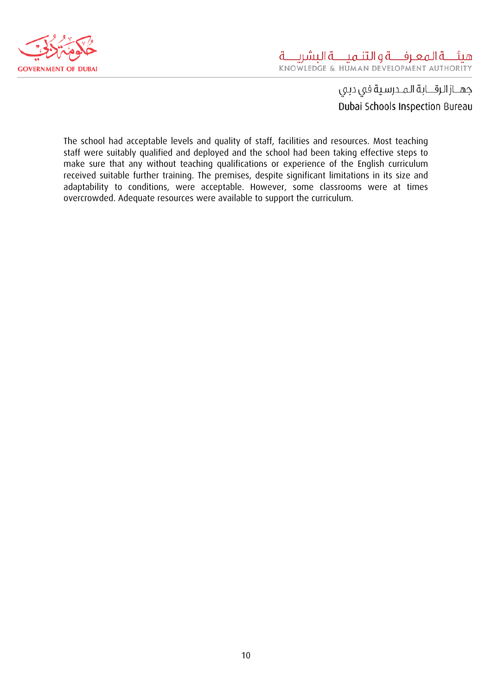

The school had acceptable levels and quality of staff, facilities and resources. Most teaching staff were suitably qualified and deployed and the school had been taking effective steps to make sure that any without teaching qualifications or experience of the English curriculum received suitable further training. The premises, despite significant limitations in its size and adaptability to conditions, were acceptable. However, some classrooms were at times overcrowded. Adequate resources were available to support the curriculum.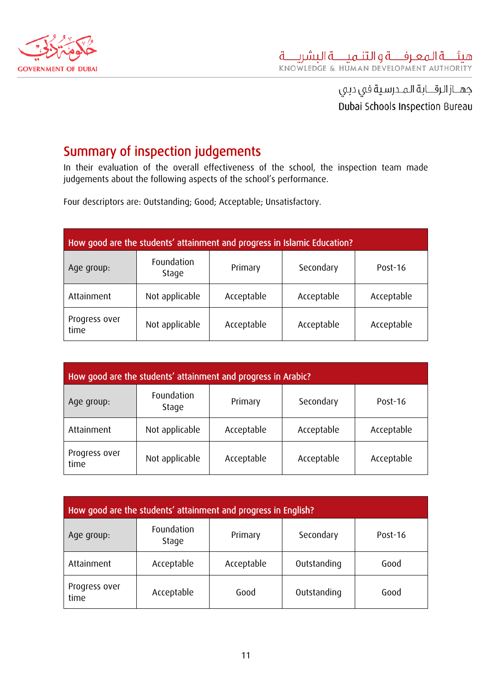<span id="page-11-0"></span>

# Summary of inspection judgements

In their evaluation of the overall effectiveness of the school, the inspection team made judgements about the following aspects of the school's performance.

Four descriptors are: Outstanding; Good; Acceptable; Unsatisfactory.

| How good are the students' attainment and progress in Islamic Education? |                     |            |            |            |
|--------------------------------------------------------------------------|---------------------|------------|------------|------------|
| Age group:                                                               | Foundation<br>Stage | Primary    | Secondary  | Post-16    |
| Attainment                                                               | Not applicable      | Acceptable | Acceptable | Acceptable |
| Progress over<br>time                                                    | Not applicable      | Acceptable | Acceptable | Acceptable |

| How good are the students' attainment and progress in Arabic? |                     |            |            |            |
|---------------------------------------------------------------|---------------------|------------|------------|------------|
| Age group:                                                    | Foundation<br>Stage | Primary    | Secondary  | Post-16    |
| Attainment                                                    | Not applicable      | Acceptable | Acceptable | Acceptable |
| Progress over<br>time                                         | Not applicable      | Acceptable | Acceptable | Acceptable |

| How good are the students' attainment and progress in English? |                     |            |             |         |
|----------------------------------------------------------------|---------------------|------------|-------------|---------|
| Age group:                                                     | Foundation<br>Stage | Primary    | Secondary   | Post-16 |
| Attainment                                                     | Acceptable          | Acceptable | Outstanding | Good    |
| Progress over<br>time                                          | Acceptable          | Good       | Outstanding | Good    |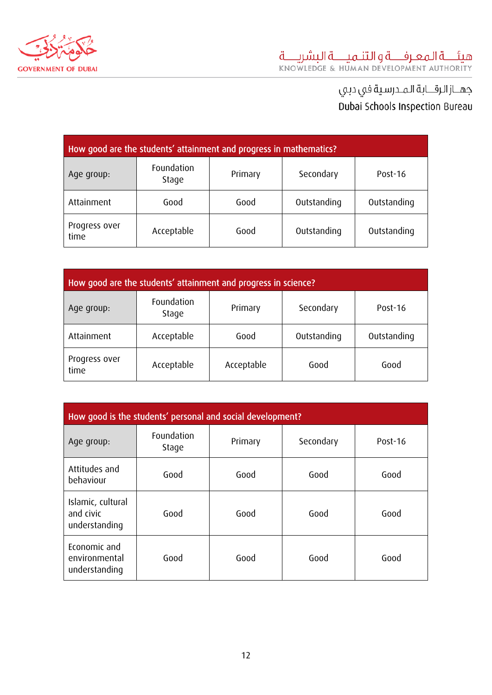

| How good are the students' attainment and progress in mathematics?        |                     |         |             |             |
|---------------------------------------------------------------------------|---------------------|---------|-------------|-------------|
| Age group:                                                                | Foundation<br>Stage | Primary | Secondary   | Post-16     |
| Attainment                                                                | Good                | Good    | Outstanding | Outstanding |
| Progress over<br>Acceptable<br>Outstanding<br>Outstanding<br>Good<br>time |                     |         |             |             |

| How good are the students' attainment and progress in science? |                     |            |             |             |
|----------------------------------------------------------------|---------------------|------------|-------------|-------------|
| Age group:                                                     | Foundation<br>Stage | Primary    | Secondary   | Post-16     |
| Attainment                                                     | Acceptable          | Good       | Outstanding | Outstanding |
| Progress over<br>time                                          | Acceptable          | Acceptable | Good        | Good        |

| How good is the students' personal and social development? |                     |         |           |         |
|------------------------------------------------------------|---------------------|---------|-----------|---------|
| Age group:                                                 | Foundation<br>Stage | Primary | Secondary | Post-16 |
| Attitudes and<br>behaviour                                 | Good                | Good    | Good      | Good    |
| Islamic, cultural<br>and civic<br>understanding            | Good                | Good    | Good      | Good    |
| Economic and<br>environmental<br>understanding             | Good                | Good    | Good      | Good    |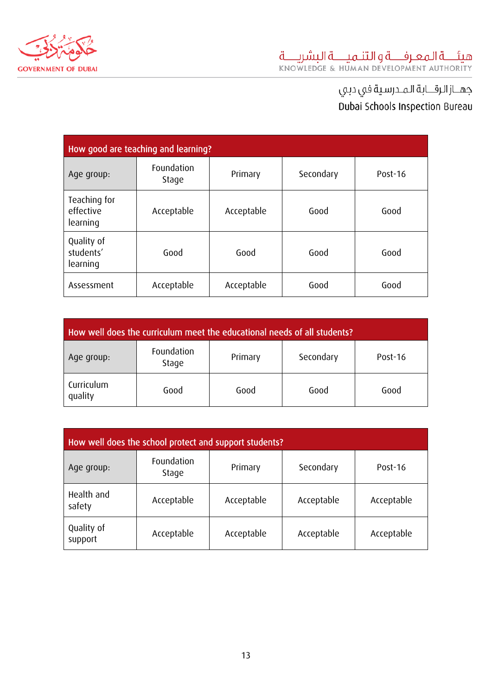

| How good are teaching and learning?   |                     |            |           |         |
|---------------------------------------|---------------------|------------|-----------|---------|
| Age group:                            | Foundation<br>Stage | Primary    | Secondary | Post-16 |
| Teaching for<br>effective<br>learning | Acceptable          | Acceptable | Good      | Good    |
| Quality of<br>students'<br>learning   | Good                | Good       | Good      | Good    |
| Assessment                            | Acceptable          | Acceptable | Good      | Good    |

| How well does the curriculum meet the educational needs of all students? |                     |         |           |         |
|--------------------------------------------------------------------------|---------------------|---------|-----------|---------|
| Age group:                                                               | Foundation<br>Stage | Primary | Secondary | Post-16 |
| Curriculum<br>quality                                                    | Good                | Good    | Good      | Good    |

| How well does the school protect and support students? |                     |            |            |            |
|--------------------------------------------------------|---------------------|------------|------------|------------|
| Age group:                                             | Foundation<br>Stage | Primary    | Secondary  | Post-16    |
| Health and<br>safety                                   | Acceptable          | Acceptable | Acceptable | Acceptable |
| Quality of<br>support                                  | Acceptable          | Acceptable | Acceptable | Acceptable |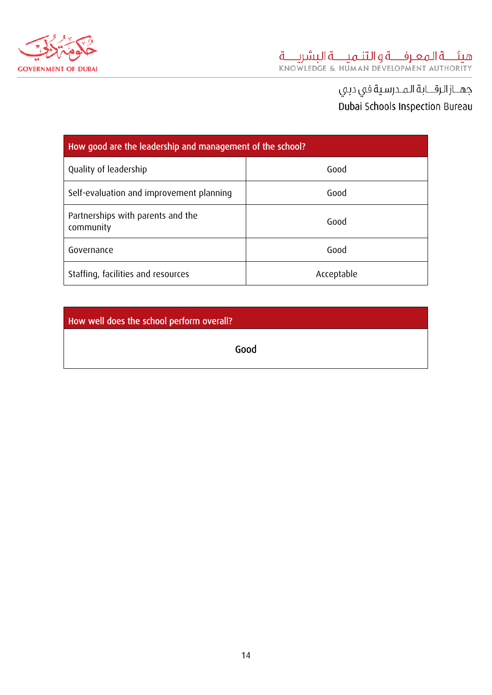

# جهــاز الرقــابة المـدرسية في دبي Dubai Schools Inspection Bureau

| How good are the leadership and management of the school? |            |  |  |
|-----------------------------------------------------------|------------|--|--|
| Quality of leadership                                     | Good       |  |  |
| Self-evaluation and improvement planning                  | Good       |  |  |
| Partnerships with parents and the<br>community            | Good       |  |  |
| Governance                                                | Good       |  |  |
| Staffing, facilities and resources                        | Acceptable |  |  |

How well does the school perform overall?

Good